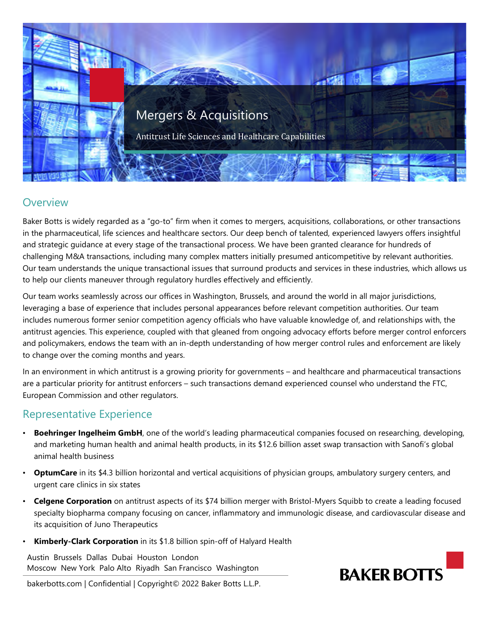

## **Overview**

Baker Botts is widely regarded as a "go-to" firm when it comes to mergers, acquisitions, collaborations, or other transactions in the pharmaceutical, life sciences and healthcare sectors. Our deep bench of talented, experienced lawyers offers insightful and strategic guidance at every stage of the transactional process. We have been granted clearance for hundreds of challenging M&A transactions, including many complex matters initially presumed anticompetitive by relevant authorities. Our team understands the unique transactional issues that surround products and services in these industries, which allows us to help our clients maneuver through regulatory hurdles effectively and efficiently.

Our team works seamlessly across our offices in Washington, Brussels, and around the world in all major jurisdictions, leveraging a base of experience that includes personal appearances before relevant competition authorities. Our team includes numerous former senior competition agency officials who have valuable knowledge of, and relationships with, the antitrust agencies. This experience, coupled with that gleaned from ongoing advocacy efforts before merger control enforcers and policymakers, endows the team with an in-depth understanding of how merger control rules and enforcement are likely to change over the coming months and years.

In an environment in which antitrust is a growing priority for governments – and healthcare and pharmaceutical transactions are a particular priority for antitrust enforcers – such transactions demand experienced counsel who understand the FTC, European Commission and other regulators.

## Representative Experience

- **Boehringer Ingelheim GmbH**, one of the world's leading pharmaceutical companies focused on researching, developing, and marketing human health and animal health products, in its \$12.6 billion asset swap transaction with Sanofi's global animal health business
- **OptumCare** in its \$4.3 billion horizontal and vertical acquisitions of physician groups, ambulatory surgery centers, and urgent care clinics in six states
- **Celgene Corporation** on antitrust aspects of its \$74 billion merger with Bristol-Myers Squibb to create a leading focused specialty biopharma company focusing on cancer, inflammatory and immunologic disease, and cardiovascular disease and its acquisition of Juno Therapeutics
- **Kimberly-Clark Corporation** in its \$1.8 billion spin-off of Halyard Health

Austin Brussels Dallas Dubai Houston London Moscow New York Palo Alto Riyadh San Francisco Washington

bakerbotts.com | Confidential | Copyright© 2022 Baker Botts L.L.P.

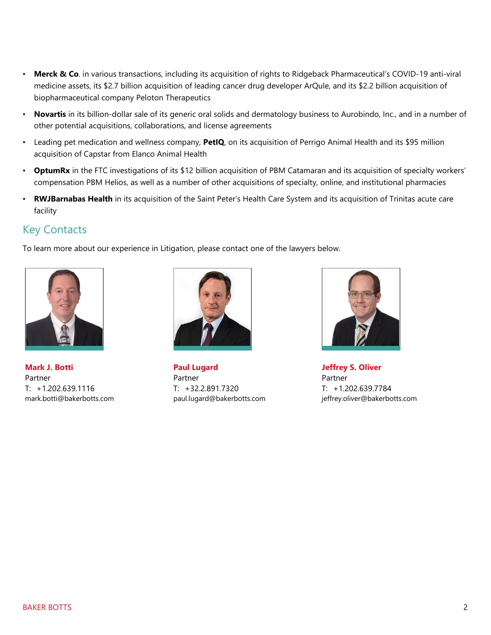- **Merck & Co**. in various transactions, including its acquisition of rights to Ridgeback Pharmaceutical's COVID-19 anti-viral medicine assets, its \$2.7 billion acquisition of leading cancer drug developer ArQule, and its \$2.2 billion acquisition of biopharmaceutical company Peloton Therapeutics
- **Novartis** in its billion-dollar sale of its generic oral solids and dermatology business to Aurobindo, Inc., and in a number of other potential acquisitions, collaborations, and license agreements
- Leading pet medication and wellness company, **PetIQ**, on its acquisition of Perrigo Animal Health and its \$95 million acquisition of Capstar from Elanco Animal Health
- **OptumRx** in the FTC investigations of its \$12 billion acquisition of PBM Catamaran and its acquisition of specialty workers' compensation PBM Helios, as well as a number of other acquisitions of specialty, online, and institutional pharmacies
- **RWJBarnabas Health** in its acquisition of the Saint Peter's Health Care System and its acquisition of Trinitas acute care facility

## Key Contacts

To learn more about our experience in Litigation, please contact one of the lawyers below.



**Mark J. Botti**  Partner T: +1.202.639.1116 mark.botti@bakerbotts.com



**Paul Lugard**  Partner T: +32.2.891.7320 paul.lugard@bakerbotts.com



**Jeffrey S. Oliver**  Partner T: +1.202.639.7784 jeffrey.oliver@bakerbotts.com